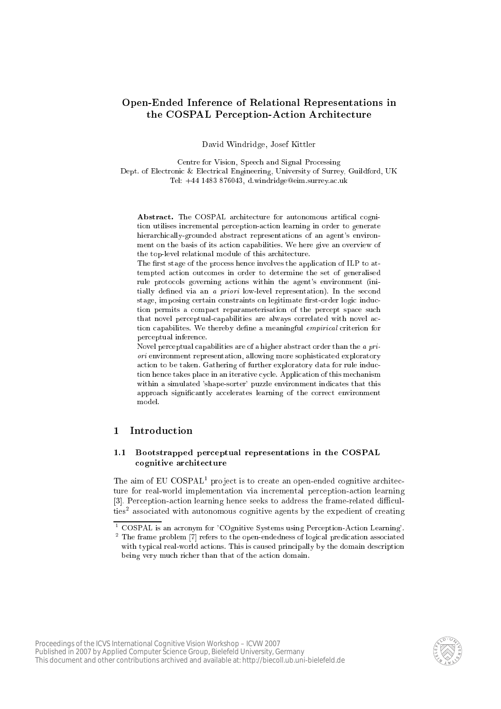# Open-Ended Inferen
e of Relational Representations in the COSPAL Perception-Action Architecture

David Windridge, Josef Kittler

Centre for Vision, Spee
h and Signal Pro
essing Dept. of Electronic & Electrical Engineering, University of Surrey, Guildford, UK Tel:  $+44$  1483 876043, d.windridge@eim.surrey.ac.uk

Abstract. The COSPAL architecture for autonomous artifical cognition utilises in
remental per
eption-a
tion learning in order to generate hierarchically-grounded abstract representations of an agent's environment on the basis of its a
tion apabilities. We here give an overview of the top-level relational module of this architecture.

The first stage of the process hence involves the application of ILP to attempted action outcomes in order to determine the set of generalised rule protocols governing actions within the agent's environment (initially defined via an a *priori* low-level representation). In the second stage, imposing certain constraints on legitimate first-order logic induction permits a compact reparameterisation of the percept space such that novel perceptual-capabilities are always correlated with novel action capabilities. We thereby define a meaningful *empirical* criterion for per
eptual inferen
e.

Novel perceptual capabilities are of a higher abstract order than the a priori environment representation, allowing more sophisti
ated exploratory action to be taken. Gathering of further exploratory data for rule induction hence takes place in an iterative cycle. Application of this mechanism within a simulated 'shape-sorter' puzzle environment indicates that this approach significantly accelerates learning of the correct environment model.

#### $\mathbf{1}$ **Introduction**

## 1.1 Bootstrapped per
eptual representations in the COSPAL ognitive ar
hite
ture

I he alm of EU COSPALI project is to create an open-ended cognitive architecture for real-world implementation via incremental perception-action learning [3]. Perception-action learning hence seeks to address the frame-related difficulties associated with autonomous cognitive agents by the expedient of creating



<sup>&</sup>lt;sup>1</sup> COSPAL is an acronym for 'COgnitive Systems using Perception-Action Learning'.

The frame problem [7] refers to the open-endedness of logical predication associated with typical real-world actions. This is caused principally by the domain description being very much richer than that of the action domain.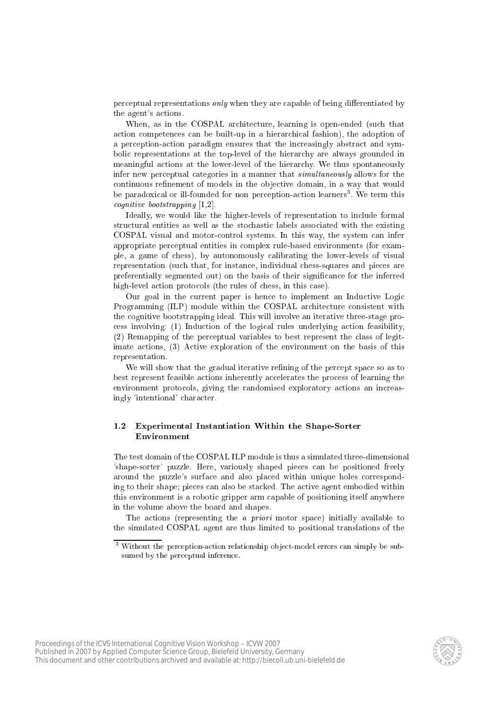perceptual representations *only* when they are capable of being differentiated by the agent's a
tions.

When, as in the COSPAL architecture, learning is open-ended (such that action competences can be built-up in a hierarchical fashion), the adoption of a perception-action paradigm ensures that the increasingly abstract and symboli representations at the top-level of the hierar
hy are always grounded in meaningful actions at the lower-level of the hierarchy. We thus spontaneously infer new per
eptual ategories in a manner that simultaneously allows for the continuous refinement of models in the objective domain, in a way that would pe paradoxical or ill-founded for non-perception-action learners". We term this ogia iz bootstrapping [1,21]

Ideally, we would like the higher-levels of representation to in
lude formal structural entities as well as the stochastic labels associated with the existing COSPAL visual and motorontrol systems. In this way, the system an infer appropriate per
eptual entities in omplex rule-based environments (for example, a game of hess), by autonomously alibrating the lower-levels of visual representation (such that, for instance, individual chess-squares and pieces are preferentially segmented out) on the basis of their significance for the inferred high-level action protocols (the rules of chess, in this case).

Our goal in the current paper is hence to implement an Inductive Logic Programming (ILP) module within the COSPAL architecture consistent with the ognitive bootstrapping ideal. This will involve an iterative three-stage pro ess involving: (1) Indu
tion of the logi
al rules underlying a
tion feasibility, (2) Remapping of the per
eptual variables to best represent the lass of legitimate a
tions, (3) A
tive exploration of the environment on the basis of this representation.

We will show that the gradual iterative refining of the percept space so as to best represent feasible actions inherently accelerates the process of learning the environment protocols, giving the randomised exploratory actions an increasingly 'intentional' character.

# 1.2 Experimental Instantiation Within the Shape-Sorter Environment

The test domain of the COSPAL ILP module is thus a simulated three-dimensional 'shape-sorter' puzzle. Here, variously shaped pieces can be positioned freely around the puzzle's surfa
e and also pla
ed within unique holes orresponding to their shape; pieces can also be stacked. The active agent embodied within this environment is a robotic gripper arm capable of positioning itself anywhere in the volume above the board and shapes.

The actions (representing the *a priori* motor space) initially available to the simulated COSPAL agent are thus limited to positional translations of the



 $\,$  without the perception-action relationship object-model errors can simply be subsumed by the perceptual inference.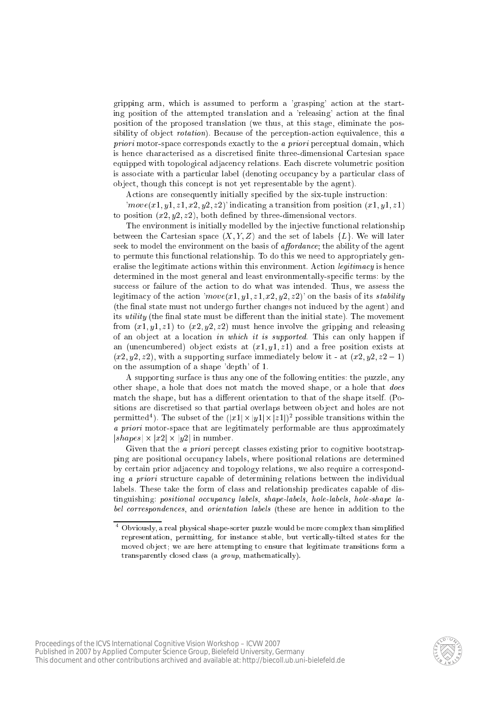gripping arm, whi
h is assumed to perform a 'grasping' a
tion at the starting position of the attempted translation and a 'releasing' action at the final position of the proposed translation (we thus, at this stage, eliminate the possibility of object *rotation*). Because of the perception-action equivalence, this a priori motor-spa
e orresponds exa
tly to the <sup>a</sup> priori per
eptual domain, whi
h is hence characterised as a discretised finite three-dimensional Cartesian space equipped with topological adjacency relations. Each discrete volumetric position is associate with a particular label (denoting occupancy by a particular class of ob je
t, though this on
ept is not yet representable by the agent).

Actions are consequently initially specified by the six-tuple instruction:

 $\langle move(x1, y1, z1, x2, y2, z2) \rangle$  indicating a transition from position  $(x1, y1, z1)$ to position  $(x2, y2, z2)$ , both defined by three-dimensional vectors.

The environment is initially modelled by the injective functional relationship between the Cartesian space  $(X, Y, Z)$  and the set of labels  $\{L\}$ . We will later seek to model the environment on the basis of *affordance*; the ability of the agent to permute this functional relationship. To do this we need to appropriately generalise the legitimate actions within this environment. Action *legitimacy* is hence determined in the most general and least environmentally-specific terms: by the success or failure of the action to do what was intended. Thus, we assess the legitimacy of the action 'move(x1, y1, z1, x2, y2, z2)' on the basis of its *stability* (the final state must not undergo further changes not induced by the agent) and its *utility* (the final state must be different than the initial state). The movement from  $(x1, y1, z1)$  to  $(x2, y2, z2)$  must hence involve the gripping and releasing of an object at a location *in which it is supported*. This can only happen if an (unencumbered) object exists at  $(x_1, y_1, z_1)$  and a free position exists at  $(x2, y2, z2)$ , with a supporting surface immediately below it - at  $(x2, y2, z2 - 1)$ on the assumption of a shape 'depth' of 1.

A supporting surfa
e is thus any one of the following entities: the puzzle, any other shape, a hole that does not match the moved shape, or a hole that *does* match the shape, but has a different orientation to that of the shape itself. (Positions are discretised so that partial overlaps between object and holes are not permitted '). The subset of the  $(|x1|\times |y1|\times |z1|)^2$  possible transitions within the a priori motor-space that are legitimately performable are the space approximately  $|shapes| \times |x2| \times |y2|$  in number.

Given that the *a priori* percept classes existing prior to cognitive bootstrapping are positional occupancy labels, where positional relations are determined by certain prior adjacency and topology relations, we also require a corresponding a priori structure capable of determining relations between the individual labels. These take the form of class and relationship predicates capable of distinguishing: positional occupancy labels, shape-labels, hole-labels, hole-shape label orresponden
es, and orientation labels (these are hen
e in addition to the



 $^\circ$  Obviously, a real physical shape-sorter puzzle would be more complex than simplified representation, permitting, for instan
e stable, but verti
ally-tilted states for the moved ob je
t; we are here attempting to ensure that legitimate transitions form a transparently closed class (a *group*, mathematically).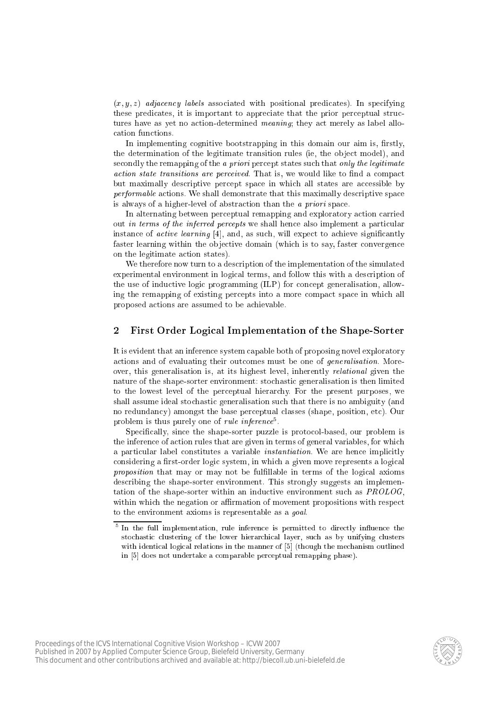$(x, y, z)$  adjacency labels associated with positional predicates). In specifying these predicates, it is important to appreciate that the prior perceptual structures have as yet no action-determined *meaning*; they act merely as label alloation fun
tions.

In implementing cognitive bootstrapping in this domain our aim is, firstly, the determination of the legitimate transition rules (ie, the object model), and secondly the remapping of the a priori percept states such that only the legitimate ation time communication and performance would be a communication would be a compared but maximally descriptive percept space in which all states are accessible by performable at the shall demonstrate that the space of the third desired that the space of the space of the sp is always of a higher-level of abstraction than the *a priori* space.

In alternating between per
eptual remapping and exploratory a
tion arried out *in terms of the inferred percepts* we shall hence also implement a particular instance of *active learning*  $[4]$ , and, as such, will expect to achieve significantly faster learning within the objective domain (which is to say, faster convergence on the legitimate action states).

We therefore now turn to a description of the implementation of the simulated experimental environment in logical terms, and follow this with a description of the use of inductive logic programming (ILP) for concept generalisation, allowing the remapping of existing percepts into a more compact space in which all proposed a
tions are assumed to be a
hievable.

# 2 First Order Logi
al Implementation of the Shape-Sorter

It is evident that an inferen
e system apable both of proposing novel exploratory actions and of evaluating their outcomes must be one of *generalisation*. Moreover, this generalisation is, at its highest level, inherently relational given the nature of the shape-sorter environment: sto
hasti generalisation is then limited to the lowest level of the per
eptual hierar
hy. For the present purposes, we shall assume ideal stochastic generalisation such that there is no ambiguity (and no redundancy) amongst the base perceptual classes (shape, position, etc). Our problem is thus purely one of *rule inference*.

Specifically, since the shape-sorter puzzle is protocol-based, our problem is the inference of action rules that are given in terms of general variables, for which a particular label constitutes a variable *instantiation*. We are hence implicitly considering a first-order logic system, in which a given move represents a logical  $p \cdot \circ p \cdot \circ \cdots \circ \circ \bullet \circ \cdots$  and the matrix of the logical contribution in terms of the logic  $\cdots$  and  $\cdots$ des
ribing the shape-sorter environment. This strongly suggests an implementation of the shape-sorter within an inductive environment such as  $PROLOG$ , within which the negation or affirmation of movement propositions with respect to the environment axioms is representable as a goal.



th the full implementation, rule inference is permitted to directly influence the the state of the state of the stochastic clustering of the lower hierarchical layer, such as by unifying clusters with identical logical relations in the manner of [5] (though the mechanism outlined in [5] does not undertake a comparable perceptual remapping phase).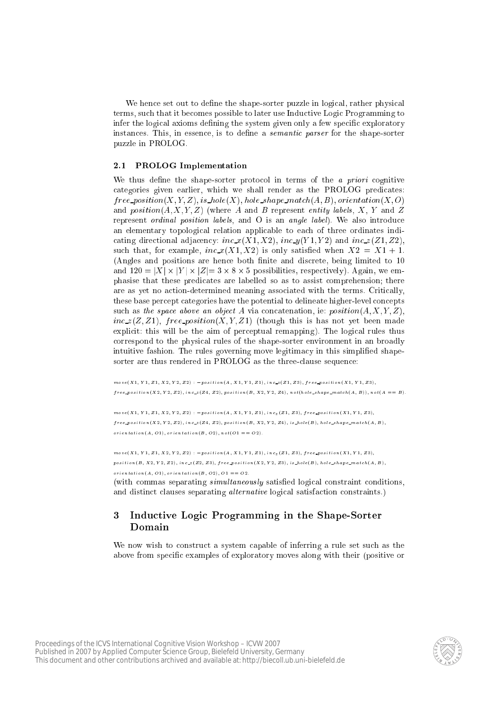We hence set out to define the shape-sorter puzzle in logical, rather physical terms, su
h that it be
omes possible to later use Indu
tive Logi Programming to infer the logical axioms defining the system given only a few specific exploratory instances. This, in essence, is to define a *semantic parser* for the shape-sorter puzzle in PROLOG.

# 2.1 PROLOG Implementation

We thus define the shape-sorter protocol in terms of the  $a$  priori cognitive ategories given earlier, whi
h we shall render as the PROLOG predi
ates:  $free\_position(X, Y, Z), is\_hole(X), hole\_shape\_match(A, B), orientation(X, O)$ and  $position(A, X, Y, Z)$  (where A and B represent entity labels, X, Y and Z represent *ordinal position labels*, and O is an *angle label*). We also introduce an elementary topological relation applicable to each of three ordinates indicating directional adjacency:  $inc_x(X1, X2)$ ,  $inc_y(Y1, Y2)$  and  $inc_z(Z1, Z2)$ , such that, for example,  $inc_x(X1, X2)$  is only satisfied when  $X2 = X1 + 1$ . (Angles and positions are hence both finite and discrete, being limited to 10 and  $120 = |X| \times |Y| \times |Z| = 3 \times 8 \times 5$  possibilities, respectively). Again, we emphasise that these predicates are labelled so as to assist comprehension; there are as yet no a
tion-determined meaning asso
iated with the terms. Criti
ally, these base percept categories have the potential to delineate higher-level concepts such as the space above an object A via concatenation, ie:  $position(A, X, Y, Z)$ ,  $inc_z(Z, Z1)$ , free position(X, Y, Z1) (though this is has not yet been made explicit: this will be the aim of perceptual remapping). The logical rules thus orrespond to the physi
al rules of the shape-sorter environment in an broadly intuitive fashion. The rules governing move legitimacy in this simplified shapesorter are thus rendered in PROLOG as the threelause sequen
e:

 $move(X1, Y1, Z1, X2, Y2, Z2)$ :  $-prosition(A, X1, Y1, Z1), inc_z(Z1, Z3), free\_position(X1, Y1, Z3),$  $free\_position(X2, Y2, Z2), inc\_z(Z4, Z2), position(B, X2, Y2, Z4), not (hole\_shape\_match(A, B)), not(A == B).$ 

 $move(X1, Y1, Z1, X2, Y2, Z2) :- position(A, X1, Y1, Z1), inc_z(Z1, Z3), free_{position}(X1, Y1, Z3),$  $free\_position(X2, Y2, Z2), inc_z(Z4, Z2), position(B, X2, Y2, Z4), is \textcolor{red}{\textbf{A}} pole(B), hole\_shape\_match(A, B),$  $orientation(A, O1), orientation(B, O2), not(O1 == O2).$ 

 $move(X1, Y1, Z1, X2, Y2, Z2)$  :  $-position(A, X1, Y1, Z1), inc_z(Z1, Z3), free\_position(X1, Y1, Z3),$  $position(B, X2, Y2, Z2), inc_z(Z2, Z3), free_{position}(X2, Y2, Z3), is hole(B), hole\_shape\_match(A, B),$  $orientation(A, O1), orientation(B, O2), O1 == O2.$ 

(with commas separating *simultaneously* satisfied logical constraint conditions, and distinct clauses separating *alternative* logical satisfaction constraints.)

#### 3 Inductive Logic Programming in the Shape-Sorter Domain

We now wish to construct a system capable of inferring a rule set such as the above from specific examples of exploratory moves along with their (positive or

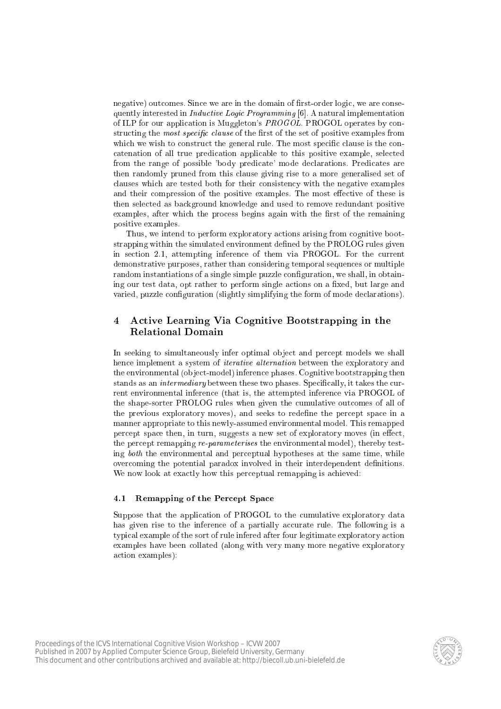negative) outcomes. Since we are in the domain of first-order logic, we are consequently interested in *Inductive Logic Programming* [6]. A natural implementation of ILP for our application is Muggleton's PROGOL. PROGOL operates by constructing the most specific clause of the first of the set of positive examples from which we wish to construct the general rule. The most specific clause is the concatenation of all true predication applicable to this positive example, selected from the range of possible 'body predicate' mode declarations. Predicates are then randomly pruned from this lause giving rise to a more generalised set of clauses which are tested both for their consistency with the negative examples and their compression of the positive examples. The most effective of these is then selected as background knowledge and used to remove redundant positive examples, after which the process begins again with the first of the remaining positive examples.

Thus, we intend to perform exploratory actions arising from cognitive bootstrapping within the simulated environment defined by the PROLOG rules given in se
tion 2.1, attempting inferen
e of them via PROGOL. For the urrent demonstrative purposes, rather than onsidering temporal sequen
es or multiple random instantiations of a single simple puzzle configuration, we shall, in obtaining our test data, opt rather to perform single actions on a fixed, but large and varied, puzzle configuration (slightly simplifying the form of mode declarations).

# 4 A
tive Learning Via Cognitive Bootstrapping in the Relational Domain

In seeking to simultaneously infer optimal object and percept models we shall hence implement a system of *iterative alternation* between the exploratory and the environmental (object-model) inference phases. Cognitive bootstrapping then stands as an *intermediary* between these two phases. Specifically, it takes the current environmental inferen
e (that is, the attempted inferen
e via PROGOL of the shape-sorter PROLOG rules when given the cumulative outcomes of all of the previous exploratory moves), and seeks to redefine the percept space in a manner appropriate to this newly-assumed environmental model. This remapped percept space then, in turn, suggests a new set of exploratory moves (in effect, the percept remapping *re-parameterises* the environmental model), thereby testing both the environmental and per
eptual hypotheses at the same time, while overcoming the potential paradox involved in their interdependent definitions. We now look at exactly how this perceptual remapping is achieved:

### 4.1 Remapping of the Percept Space

Suppose that the application of PROGOL to the cumulative exploratory data has given rise to the inference of a partially accurate rule. The following is a typical example of the sort of rule infered after four legitimate exploratory action examples have been ollated (along with very many more negative exploratory a
tion examples):

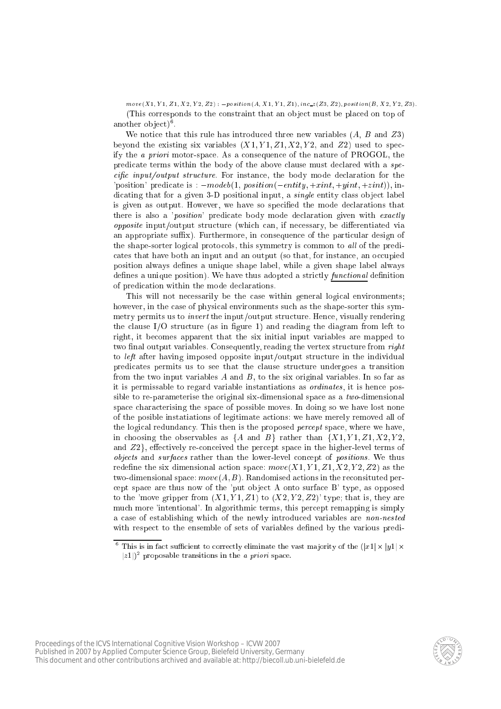$move(X1, Y1, Z1, X2, Y2, Z2)$ :  $-position(A, X1, Y1, Z1), inc_z(Z3, Z2), position(B, X2, Y2, Z3)$ . (This corresponds to the constraint that an object must be placed on top of another object) .

We notice that this rule has introduced three new variables  $(A, B \text{ and } Z3)$ beyond the existing six variables  $(X1, Y1, Z1, X2, Y2, \text{ and } Z2)$  used to specify the <sup>a</sup> priori motor-spa
e. As a onsequen
e of the nature of PROGOL, the predicate terms within the body of the above clause must declared with a spein the body output structure. In the the continues in the body continues are continued and the 'position' predicate is :  $\n-modeb(1, position(-entity, +xint, +yint, +zint))$ , indicating that for a given 3-D positional input, a *single* entity class object label is given as output. However, we have so specified the mode declarations that there is also a '*position*' predicate body mode declaration given with exactly opposite input/output stru
ture (whi
h an, if ne
essary, be dierentiated via an appropriate suffix). Furthermore, in consequence of the particular design of the shape-sorter logical protocols, this symmetry is common to all of the predicates that have both an input and an output (so that, for instance, an occupied position always defines a unique shape label, while a given shape label always defines a unique position). We have thus adopted a strictly *functional* definition of predi
ation within the mode de
larations.

This will not necessarily be the case within general logical environments; however, in the case of physical environments such as the shape-sorter this symmetry permits us to *invert* the input/output structure. Hence, visually rendering the clause  $I/O$  structure (as in figure 1) and reading the diagram from left to right, it be
omes apparent that the six initial input variables are mapped to two final output variables. Consequently, reading the vertex structure from right to *left* after having imposed opposite input/output structure in the individual predi
ates permits us to see that the lause stru
ture undergoes a transition from the two input variables  $A$  and  $B$ , to the six original variables. In so far as it is permissable to regard variable instantiations as *ordinates*, it is hence possible to re-parameterise the original six-dimensional space as a *two*-dimensional spa
e hara
terising the spa
e of possible moves. In doing so we have lost none of the posible instatiations of legitimate a
tions: we have merely removed all of the logical redundancy. This then is the proposed *percept* space, where we have, in hoosing the observables as fA and Bg rather than fX1; Y 1; Z1; X2; Y 2; and  $Z2$ , effectively re-conceived the percept space in the higher-level terms of objects and surjusts document thanks that it is a there is no profit it is the document redefine the six dimensional action space:  $move(X1, Y1, Z1, X2, Y2, Z2)$  as the two-dimensional space:  $move(A, B)$ . Randomised actions in the reconsituted perept spa
e are thus now of the 'put ob je
t A onto surfa
e B' type, as opposed to the 'move gripper from  $(X1, Y1, Z1)$  to  $(X2, Y2, Z2)$ ' type; that is, they are mu
h more 'intentional'. In algorithmi terms, this per
ept remapping is simply a case of establishing which of the newly introduced variables are non-nested with respect to the ensemble of sets of variables defined by the various predi-



This is in fact sufficient to correctly eliminate the vast majority of the ([x1]  $\times$  [y1]  $\times$  $|z_1|$ ) proposable transitions in the *a priori* space.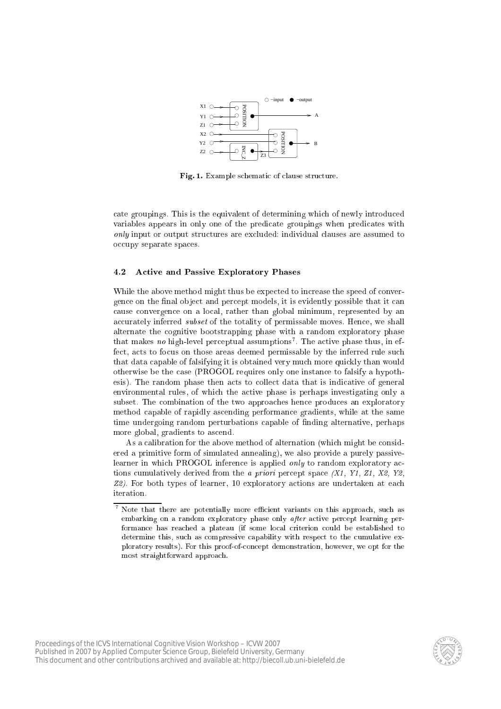

Fig. 1. Example schematic of clause structure.

ate groupings. This is the equivalent of determining whi
h of newly introdu
ed variables appears in only one of the predicate groupings when predicates with only input or output stru
tures are ex
luded: individual lauses are assumed to occupy separate spaces.

# 4.2 A
tive and Passive Exploratory Phases

While the above method might thus be expected to increase the speed of convergence on the final object and percept models, it is evidently possible that it can cause convergence on a local, rather than global minimum, represented by an accurately inferred *subset* of the totality of permissable moves. Hence, we shall alternate the ognitive bootstrapping phase with a random exploratory phase  $t$  mat makes  $n\sigma$  migh-level perceptual assumptions". The active phase thus, in eifect, acts to focus on those areas deemed permissable by the inferred rule such that data capable of falsifying it is obtained very much more quickly than would otherwise be the ase (PROGOL requires only one instan
e to falsify a hypothesis). The random phase then acts to collect data that is indicative of general environmental rules, of which the active phase is perhaps investigating only a subset. The combination of the two approaches hence produces an exploratory method apable of rapidly as
ending performan
e gradients, while at the same time undergoing random perturbations capable of finding alternative, perhaps more global, gradients to as
end.

As a calibration for the above method of alternation (which might be considered a primitive form of simulated annealing), we also provide a purely passivelearner in which PROGOL inference is applied only to random exploratory actions cumulatively derived from the *a priori* percept space  $(X1, Y1, Z1, X2, Y2, Y3)$ Z2). For both types of learner, 10 exploratory actions are undertaken at each iteration.



 $\,$  Note that there are potentially more efficient variants on this approach, such as embarking on a random exploratory phase only after active percept learning performance has reached a plateau (if some local criterion could be established to determine this, such as compressive capability with respect to the cumulative exploratory results). For this proof-ofon
ept demonstration, however, we opt for the most straightforward approa
h.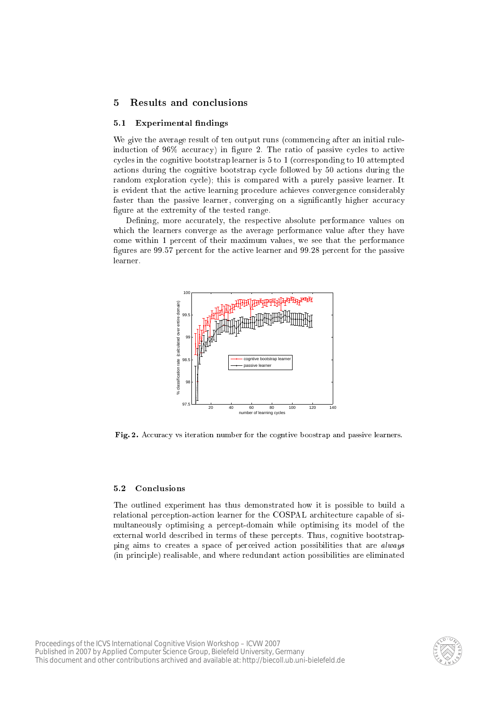# 5 Results and on
lusions

# 5.1 Experimental findings

We give the average result of ten output runs (commencing after an initial ruleinduction of 96% accuracy) in figure 2. The ratio of passive cycles to active cycles in the cognitive bootstrap learner is 5 to 1 (corresponding to 10 attempted actions during the cognitive bootstrap cycle followed by 50 actions during the random exploration cycle); this is compared with a purely passive learner. It is evident that the active learning procedure achieves convergence considerably faster than the passive learner, converging on a significantly higher accuracy figure at the extremity of the tested range.

Defining, more accurately, the respective absolute performance values on which the learners converge as the average performance value after they have ome within 1 per
ent of their maximum values, we see that the performan
e figures are 99.57 percent for the active learner and 99.28 percent for the passive learner.



Fig. 2. Accuracy vs iteration number for the cogntive boostrap and passive learners.

#### $5.2$ **Conclusions**

The outlined experiment has thus demonstrated how it is possible to build a relational perception-action learner for the COSPAL architecture capable of simultaneously optimising a per
ept-domain while optimising its model of the external world described in terms of these percepts. Thus, cognitive bootstrapping aims to creates a space of perceived action possibilities that are *always* (in principle) realisable, and where redundant action possibilities are eliminated